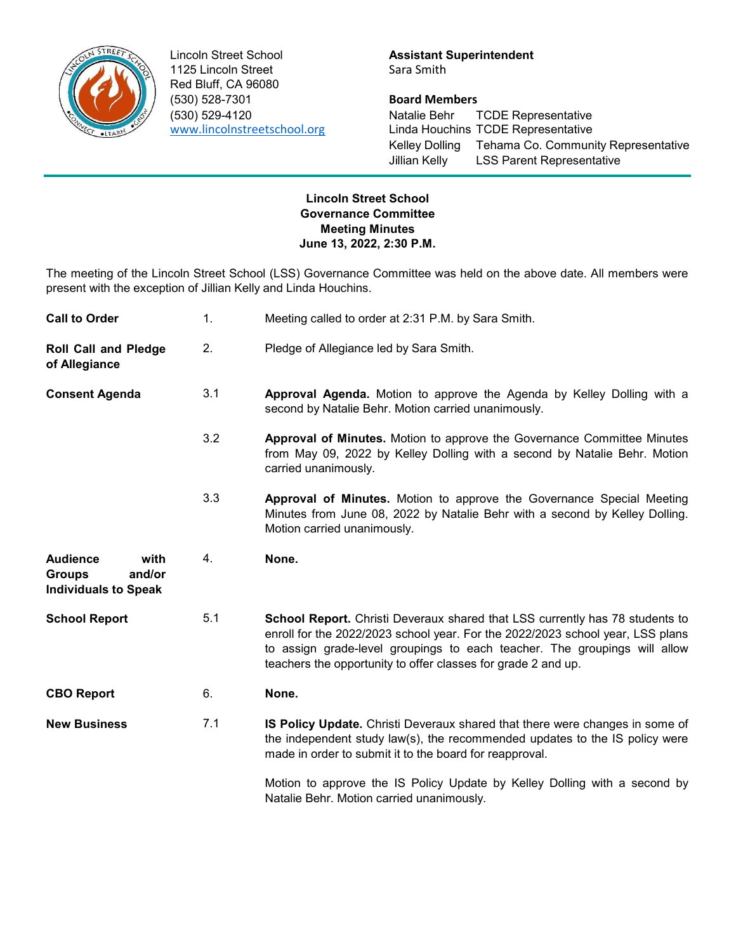

Lincoln Street School **Assistant Superintendent** 1125 Lincoln Street Sara Smith Red Bluff, CA 96080 (530) 528-7301 Board Members

(530) 529-4120 Natalie Behr TCDE Representative Linda Houchins TCDE Representative Kelley Dolling Tehama Co. Community Representative Jillian Kelly LSS Parent Representative

## Lincoln Street School Governance Committee Meeting Minutes June 13, 2022, 2:30 P.M.

The meeting of the Lincoln Street School (LSS) Governance Committee was held on the above date. All members were present with the exception of Jillian Kelly and Linda Houchins.

| <b>Call to Order</b>                                                              | 1.  | Meeting called to order at 2:31 P.M. by Sara Smith.                                                                                                                                                                                                                                                          |
|-----------------------------------------------------------------------------------|-----|--------------------------------------------------------------------------------------------------------------------------------------------------------------------------------------------------------------------------------------------------------------------------------------------------------------|
| <b>Roll Call and Pledge</b><br>of Allegiance                                      | 2.  | Pledge of Allegiance led by Sara Smith.                                                                                                                                                                                                                                                                      |
| <b>Consent Agenda</b>                                                             | 3.1 | Approval Agenda. Motion to approve the Agenda by Kelley Dolling with a<br>second by Natalie Behr. Motion carried unanimously.                                                                                                                                                                                |
|                                                                                   | 3.2 | <b>Approval of Minutes.</b> Motion to approve the Governance Committee Minutes<br>from May 09, 2022 by Kelley Dolling with a second by Natalie Behr. Motion<br>carried unanimously.                                                                                                                          |
|                                                                                   | 3.3 | Approval of Minutes. Motion to approve the Governance Special Meeting<br>Minutes from June 08, 2022 by Natalie Behr with a second by Kelley Dolling.<br>Motion carried unanimously.                                                                                                                          |
| <b>Audience</b><br>with<br><b>Groups</b><br>and/or<br><b>Individuals to Speak</b> | 4.  | None.                                                                                                                                                                                                                                                                                                        |
| <b>School Report</b>                                                              | 5.1 | School Report. Christi Deveraux shared that LSS currently has 78 students to<br>enroll for the 2022/2023 school year. For the 2022/2023 school year, LSS plans<br>to assign grade-level groupings to each teacher. The groupings will allow<br>teachers the opportunity to offer classes for grade 2 and up. |
| <b>CBO Report</b>                                                                 | 6.  | None.                                                                                                                                                                                                                                                                                                        |
| <b>New Business</b>                                                               | 7.1 | <b>IS Policy Update.</b> Christi Deveraux shared that there were changes in some of<br>the independent study law(s), the recommended updates to the IS policy were<br>made in order to submit it to the board for reapproval.                                                                                |
|                                                                                   |     | Motion to approve the IS Policy Update by Kelley Dolling with a second by<br>Natalie Behr. Motion carried unanimously.                                                                                                                                                                                       |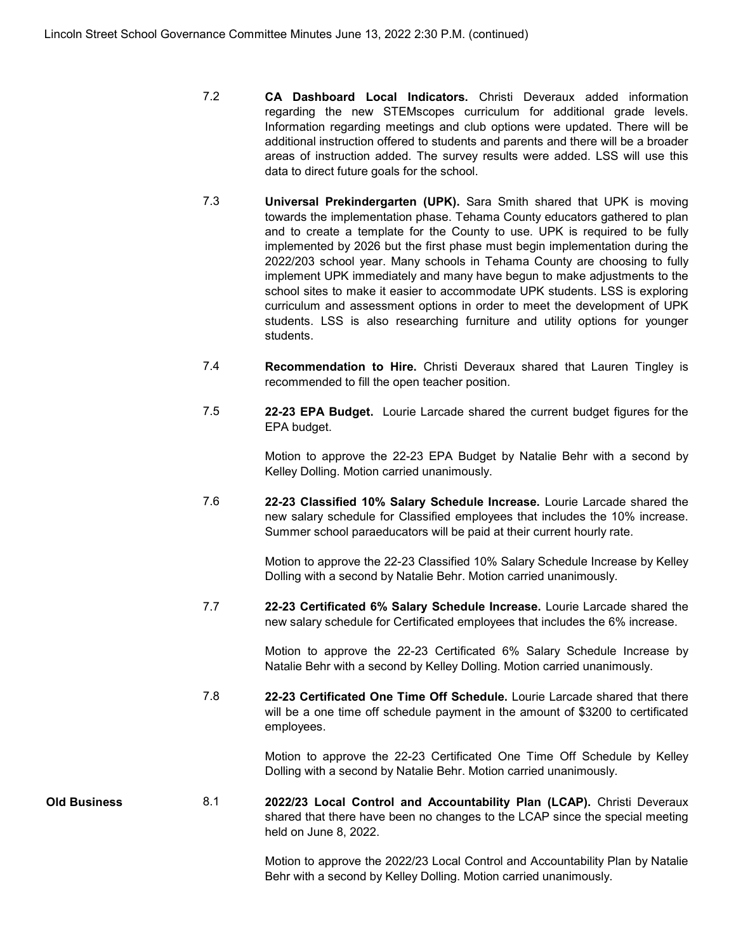- 7.2 CA Dashboard Local Indicators. Christi Deveraux added information regarding the new STEMscopes curriculum for additional grade levels. Information regarding meetings and club options were updated. There will be additional instruction offered to students and parents and there will be a broader areas of instruction added. The survey results were added. LSS will use this data to direct future goals for the school.
- 7.3 Universal Prekindergarten (UPK). Sara Smith shared that UPK is moving towards the implementation phase. Tehama County educators gathered to plan and to create a template for the County to use. UPK is required to be fully implemented by 2026 but the first phase must begin implementation during the 2022/203 school year. Many schools in Tehama County are choosing to fully implement UPK immediately and many have begun to make adjustments to the school sites to make it easier to accommodate UPK students. LSS is exploring curriculum and assessment options in order to meet the development of UPK students. LSS is also researching furniture and utility options for younger students.
- 7.4 Recommendation to Hire. Christi Deveraux shared that Lauren Tingley is recommended to fill the open teacher position.
- 7.5 22-23 EPA Budget. Lourie Larcade shared the current budget figures for the EPA budget.

Motion to approve the 22-23 EPA Budget by Natalie Behr with a second by Kelley Dolling. Motion carried unanimously.

7.6 22-23 Classified 10% Salary Schedule Increase. Lourie Larcade shared the new salary schedule for Classified employees that includes the 10% increase. Summer school paraeducators will be paid at their current hourly rate.

> Motion to approve the 22-23 Classified 10% Salary Schedule Increase by Kelley Dolling with a second by Natalie Behr. Motion carried unanimously.

7.7 22-23 Certificated 6% Salary Schedule Increase. Lourie Larcade shared the new salary schedule for Certificated employees that includes the 6% increase.

> Motion to approve the 22-23 Certificated 6% Salary Schedule Increase by Natalie Behr with a second by Kelley Dolling. Motion carried unanimously.

7.8 22-23 Certificated One Time Off Schedule. Lourie Larcade shared that there will be a one time off schedule payment in the amount of \$3200 to certificated employees.

> Motion to approve the 22-23 Certificated One Time Off Schedule by Kelley Dolling with a second by Natalie Behr. Motion carried unanimously.

Old Business 6.1 2022/23 Local Control and Accountability Plan (LCAP). Christi Deveraux shared that there have been no changes to the LCAP since the special meeting held on June 8, 2022.

> Motion to approve the 2022/23 Local Control and Accountability Plan by Natalie Behr with a second by Kelley Dolling. Motion carried unanimously.